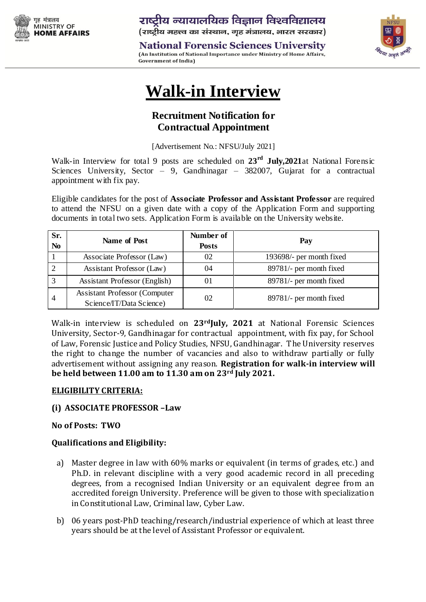

**National Forensic Sciences University** (An Institution of National Importance under Ministry of Home Affairs, **Government of India)** 



# **Walk-in Interview**

# **Recruitment Notification for Contractual Appointment**

[Advertisement No.: NFSU/July 2021]

Walk-in Interview for total 9 posts are scheduled on **23 rd July,2021**at National Forensic Sciences University, Sector  $\frac{1}{2}$  9, Gandhinagar – 382007, Gujarat for a contractual appointment with fix pay.

Eligible candidates for the post of **Associate Professor and Assistant Professor** are required to attend the NFSU on a given date with a copy of the Application Form and supporting documents in total two sets. Application Form is available on the University website.

| Sr.<br>N <sub>0</sub> | <b>Name of Post</b>                                              | Number of<br><b>Posts</b> | Pay                      |
|-----------------------|------------------------------------------------------------------|---------------------------|--------------------------|
|                       | Associate Professor (Law)                                        | 02                        | 193698/- per month fixed |
|                       | Assistant Professor (Law)                                        | 04                        | 89781/- per month fixed  |
| 3                     | <b>Assistant Professor (English)</b>                             | 01                        | 89781/- per month fixed  |
| 4                     | <b>Assistant Professor (Computer</b><br>Science/IT/Data Science) | 02                        | 89781/- per month fixed  |

Walk-in interview is scheduled on **23rdJuly, 2021** at National Forensic Sciences University, Sector-9, Gandhinagar for contractual appointment, with fix pay, for School of Law, Forensic Justice and Policy Studies, NFSU, Gandhinagar. The University reserves the right to change the number of vacancies and also to withdraw partially or fully advertisement without assigning any reason. **Registration for walk-in interview will be held between 11.00 am to 11.30 am on 23rd July 2021.**

#### **ELIGIBILITY CRITERIA:**

#### **(i) ASSOCIATE PROFESSOR –Law**

#### **No of Posts: TWO**

#### **Qualifications and Eligibility:**

- a) Master degree in law with 60% marks or equivalent (in terms of grades, etc.) and Ph.D. in relevant discipline with a very good academic record in all preceding degrees, from a recognised Indian University or an equivalent degree from an accredited foreign University. Preference will be given to those with specialization in Constitutional Law, Criminal law, Cyber Law.
- b) 06 years post-PhD teaching/research/industrial experience of which at least three years should be at the level of Assistant Professor or equivalent.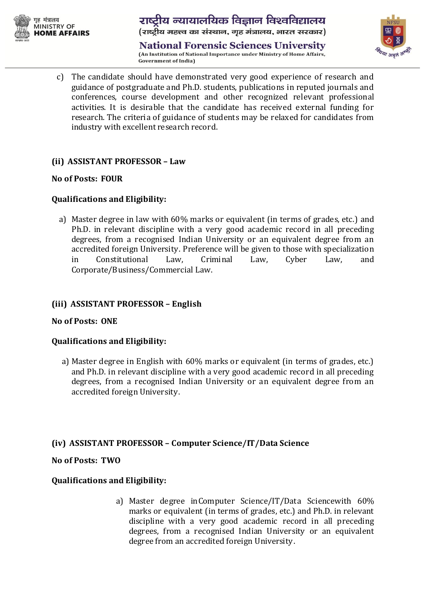

## राष्ट्रीय न्यायालयिक विज्ञान विश्वविद्यालय (राष्ट्रीय महत्त्व का संस्थान, गृह मंत्रालय, भारत सरकार)

**National Forensic Sciences University** (An Institution of National Importance under Ministry of Home Affairs, **Government of India)** 



c) The candidate should have demonstrated very good experience of research and guidance of postgraduate and Ph.D. students, publications in reputed journals and conferences, course development and other recognized relevant professional activities. It is desirable that the candidate has received external funding for research. The criteria of guidance of students may be relaxed for candidates from industry with excellent research record.

### **(ii) ASSISTANT PROFESSOR – Law**

#### **No of Posts: FOUR**

### **Qualifications and Eligibility:**

a) Master degree in law with 60% marks or equivalent (in terms of grades, etc.) and Ph.D. in relevant discipline with a very good academic record in all preceding degrees, from a recognised Indian University or an equivalent degree from an accredited foreign University. Preference will be given to those with specialization in Constitutional Law, Criminal Law, Cyber Law, and Corporate/Business/Commercial Law.

## **(iii) ASSISTANT PROFESSOR – English**

#### **No of Posts: ONE**

#### **Qualifications and Eligibility:**

a) Master degree in English with 60% marks or equivalent (in terms of grades, etc.) and Ph.D. in relevant discipline with a very good academic record in all preceding degrees, from a recognised Indian University or an equivalent degree from an accredited foreign University.

#### **(iv) ASSISTANT PROFESSOR – Computer Science/IT/Data Science**

#### **No of Posts: TWO**

#### **Qualifications and Eligibility:**

a) Master degree inComputer Science/IT/Data Sciencewith 60% marks or equivalent (in terms of grades, etc.) and Ph.D. in relevant discipline with a very good academic record in all preceding degrees, from a recognised Indian University or an equivalent degree from an accredited foreign University.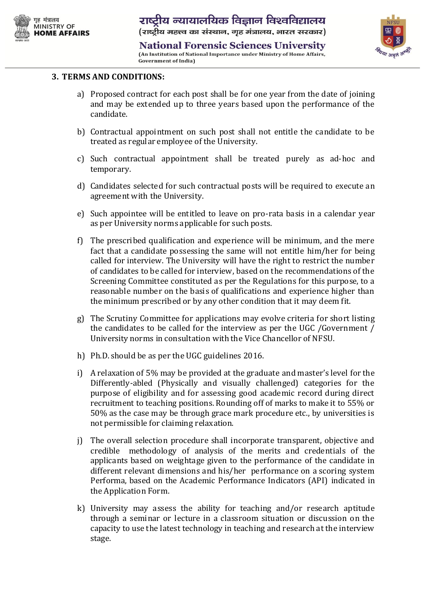

**National Forensic Sciences University** (An Institution of National Importance under Ministry of Home Affairs, **Government of India)** 



#### **3. TERMS AND CONDITIONS:**

- a) Proposed contract for each post shall be for one year from the date of joining and may be extended up to three years based upon the performance of the candidate.
- b) Contractual appointment on such post shall not entitle the candidate to be treated as regular employee of the University.
- c) Such contractual appointment shall be treated purely as ad-hoc and temporary.
- d) Candidates selected for such contractual posts will be required to execute an agreement with the University.
- e) Such appointee will be entitled to leave on pro-rata basis in a calendar year as per University norms applicable for such posts.
- f) The prescribed qualification and experience will be minimum, and the mere fact that a candidate possessing the same will not entitle him/her for being called for interview. The University will have the right to restrict the number of candidates to be called for interview, based on the recommendations of the Screening Committee constituted as per the Regulations for this purpose, to a reasonable number on the basis of qualifications and experience higher than the minimum prescribed or by any other condition that it may deem fit.
- g) The Scrutiny Committee for applications may evolve criteria for short listing the candidates to be called for the interview as per the UGC /Government / University norms in consultation with the Vice Chancellor of NFSU.
- h) Ph.D. should be as per the UGC guidelines 2016.
- i) A relaxation of 5% may be provided at the graduate and master's level for the Differently-abled (Physically and visually challenged) categories for the purpose of eligibility and for assessing good academic record during direct recruitment to teaching positions. Rounding off of marks to make it to 55% or 50% as the case may be through grace mark procedure etc., by universities is not permissible for claiming relaxation.
- j) The overall selection procedure shall incorporate transparent, objective and credible methodology of analysis of the merits and credentials of the applicants based on weightage given to the performance of the candidate in different relevant dimensions and his/her performance on a scoring system Performa, based on the Academic Performance Indicators (API) indicated in the Application Form.
- k) University may assess the ability for teaching and/or research aptitude through a seminar or lecture in a classroom situation or discussion on the capacity to use the latest technology in teaching and research at the interview stage.